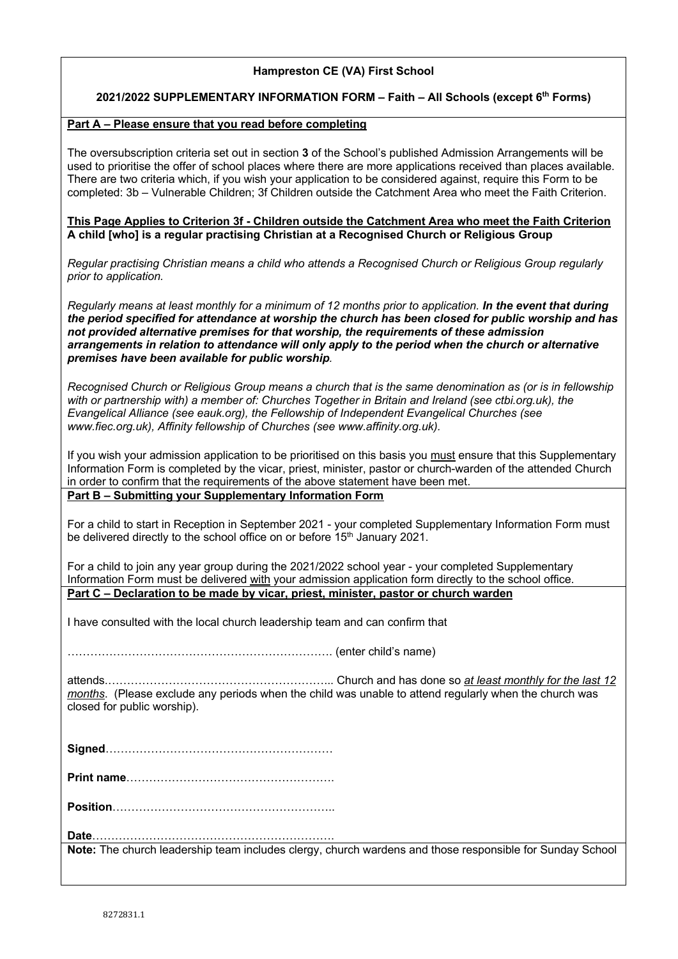## **Hampreston CE (VA) First School**

### **2021/2022 SUPPLEMENTARY INFORMATION FORM – Faith – All Schools (except 6th Forms)**

### **Part A – Please ensure that you read before completing**

The oversubscription criteria set out in section **3** of the School's published Admission Arrangements will be used to prioritise the offer of school places where there are more applications received than places available. There are two criteria which, if you wish your application to be considered against, require this Form to be completed: 3b – Vulnerable Children; 3f Children outside the Catchment Area who meet the Faith Criterion.

### **This Page Applies to Criterion 3f - Children outside the Catchment Area who meet the Faith Criterion A child [who] is a regular practising Christian at a Recognised Church or Religious Group**

*Regular practising Christian means a child who attends a Recognised Church or Religious Group regularly prior to application.*

*Regularly means at least monthly for a minimum of 12 months prior to application. In the event that during the period specified for attendance at worship the church has been closed for public worship and has not provided alternative premises for that worship, the requirements of these admission arrangements in relation to attendance will only apply to the period when the church or alternative premises have been available for public worship.*

*Recognised Church or Religious Group means a church that is the same denomination as (or is in fellowship with or partnership with) a member of: Churches Together in Britain and Ireland (see ctbi.org.uk), the Evangelical Alliance (see eauk.org), the Fellowship of Independent Evangelical Churches (see www.fiec.org.uk), Affinity fellowship of Churches (see www.affinity.org.uk).*

If you wish your admission application to be prioritised on this basis you must ensure that this Supplementary Information Form is completed by the vicar, priest, minister, pastor or church-warden of the attended Church in order to confirm that the requirements of the above statement have been met.

# **Part B – Submitting your Supplementary Information Form**

For a child to start in Reception in September 2021 - your completed Supplementary Information Form must be delivered directly to the school office on or before 15<sup>th</sup> January 2021.

For a child to join any year group during the 2021/2022 school year - your completed Supplementary Information Form must be delivered with your admission application form directly to the school office. **Part C – Declaration to be made by vicar, priest, minister, pastor or church warden**

I have consulted with the local church leadership team and can confirm that

……………………………………………………………. (enter child's name)

attends.…………………………………………………... Church and has done so *at least monthly for the last 12 months*. (Please exclude any periods when the child was unable to attend regularly when the church was closed for public worship).

**Print name**……………………………………………….

**Position**…………………………………………………..

**Date**………………………………………………………. **Note:** The church leadership team includes clergy, church wardens and those responsible for Sunday School